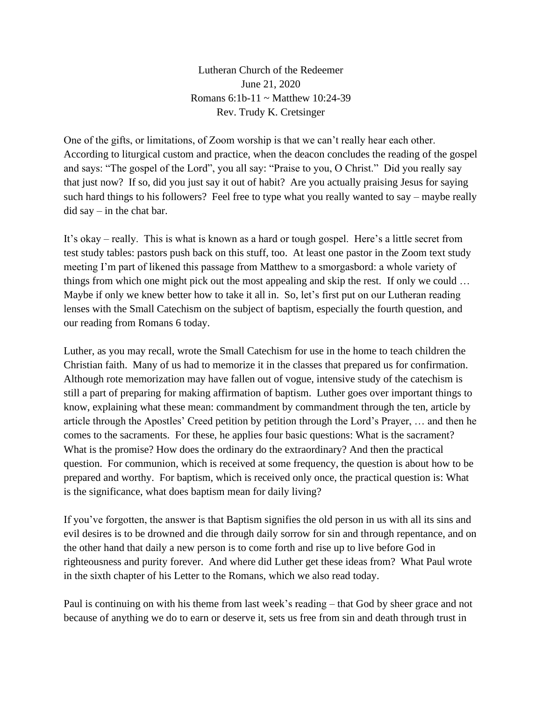Lutheran Church of the Redeemer June 21, 2020 Romans 6:1b-11 ~ Matthew 10:24-39 Rev. Trudy K. Cretsinger

One of the gifts, or limitations, of Zoom worship is that we can't really hear each other. According to liturgical custom and practice, when the deacon concludes the reading of the gospel and says: "The gospel of the Lord", you all say: "Praise to you, O Christ." Did you really say that just now? If so, did you just say it out of habit? Are you actually praising Jesus for saying such hard things to his followers? Feel free to type what you really wanted to say – maybe really did say – in the chat bar.

It's okay – really. This is what is known as a hard or tough gospel. Here's a little secret from test study tables: pastors push back on this stuff, too. At least one pastor in the Zoom text study meeting I'm part of likened this passage from Matthew to a smorgasbord: a whole variety of things from which one might pick out the most appealing and skip the rest. If only we could … Maybe if only we knew better how to take it all in. So, let's first put on our Lutheran reading lenses with the Small Catechism on the subject of baptism, especially the fourth question, and our reading from Romans 6 today.

Luther, as you may recall, wrote the Small Catechism for use in the home to teach children the Christian faith. Many of us had to memorize it in the classes that prepared us for confirmation. Although rote memorization may have fallen out of vogue, intensive study of the catechism is still a part of preparing for making affirmation of baptism. Luther goes over important things to know, explaining what these mean: commandment by commandment through the ten, article by article through the Apostles' Creed petition by petition through the Lord's Prayer, … and then he comes to the sacraments. For these, he applies four basic questions: What is the sacrament? What is the promise? How does the ordinary do the extraordinary? And then the practical question. For communion, which is received at some frequency, the question is about how to be prepared and worthy. For baptism, which is received only once, the practical question is: What is the significance, what does baptism mean for daily living?

If you've forgotten, the answer is that Baptism signifies the old person in us with all its sins and evil desires is to be drowned and die through daily sorrow for sin and through repentance, and on the other hand that daily a new person is to come forth and rise up to live before God in righteousness and purity forever. And where did Luther get these ideas from? What Paul wrote in the sixth chapter of his Letter to the Romans, which we also read today.

Paul is continuing on with his theme from last week's reading – that God by sheer grace and not because of anything we do to earn or deserve it, sets us free from sin and death through trust in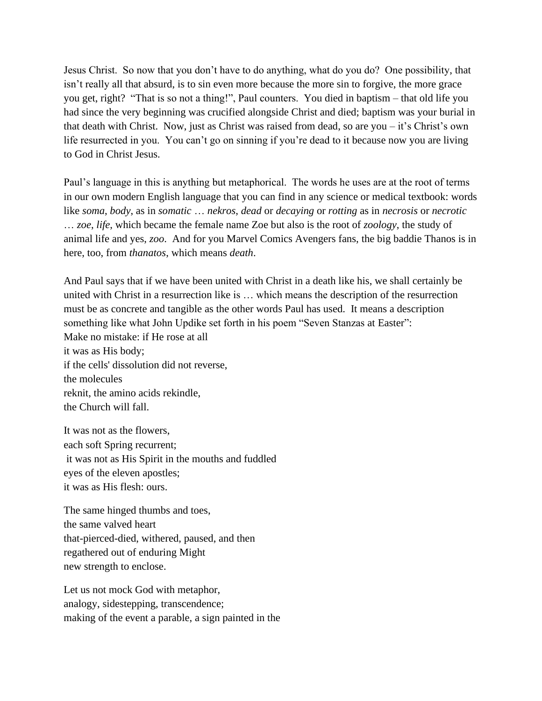Jesus Christ. So now that you don't have to do anything, what do you do? One possibility, that isn't really all that absurd, is to sin even more because the more sin to forgive, the more grace you get, right? "That is so not a thing!", Paul counters. You died in baptism – that old life you had since the very beginning was crucified alongside Christ and died; baptism was your burial in that death with Christ. Now, just as Christ was raised from dead, so are you – it's Christ's own life resurrected in you. You can't go on sinning if you're dead to it because now you are living to God in Christ Jesus.

Paul's language in this is anything but metaphorical. The words he uses are at the root of terms in our own modern English language that you can find in any science or medical textbook: words like *soma*, *body*, as in *somatic* … *nekros*, *dead* or *decaying* or *rotting* as in *necrosis* or *necrotic* … *zoe*, *life*, which became the female name Zoe but also is the root of *zoology*, the study of animal life and yes, *zoo*. And for you Marvel Comics Avengers fans, the big baddie Thanos is in here, too, from *thanatos*, which means *death*.

And Paul says that if we have been united with Christ in a death like his, we shall certainly be united with Christ in a resurrection like is … which means the description of the resurrection must be as concrete and tangible as the other words Paul has used. It means a description something like what John Updike set forth in his poem "Seven Stanzas at Easter": Make no mistake: if He rose at all it was as His body; if the cells' dissolution did not reverse, the molecules reknit, the amino acids rekindle, the Church will fall.

It was not as the flowers, each soft Spring recurrent; it was not as His Spirit in the mouths and fuddled eyes of the eleven apostles; it was as His flesh: ours.

The same hinged thumbs and toes, the same valved heart that-pierced-died, withered, paused, and then regathered out of enduring Might new strength to enclose.

Let us not mock God with metaphor, analogy, sidestepping, transcendence; making of the event a parable, a sign painted in the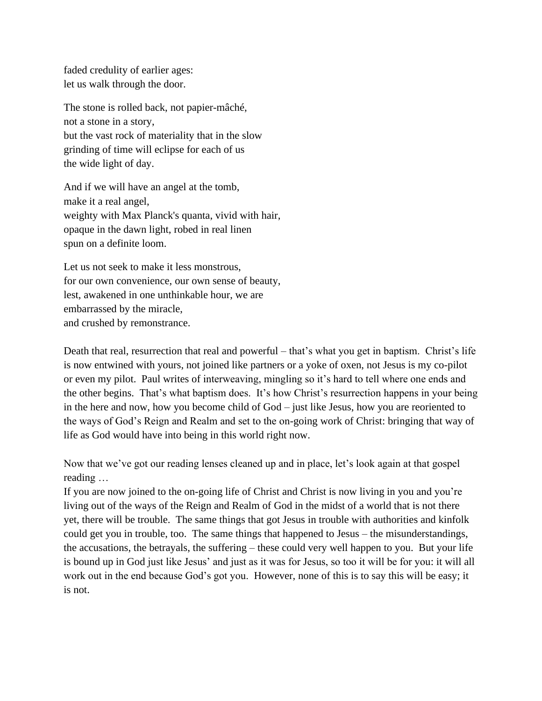faded credulity of earlier ages: let us walk through the door.

The stone is rolled back, not papier-mâché, not a stone in a story, but the vast rock of materiality that in the slow grinding of time will eclipse for each of us the wide light of day.

And if we will have an angel at the tomb, make it a real angel, weighty with Max Planck's quanta, vivid with hair, opaque in the dawn light, robed in real linen spun on a definite loom.

Let us not seek to make it less monstrous, for our own convenience, our own sense of beauty, lest, awakened in one unthinkable hour, we are embarrassed by the miracle, and crushed by remonstrance.

Death that real, resurrection that real and powerful – that's what you get in baptism. Christ's life is now entwined with yours, not joined like partners or a yoke of oxen, not Jesus is my co-pilot or even my pilot. Paul writes of interweaving, mingling so it's hard to tell where one ends and the other begins. That's what baptism does. It's how Christ's resurrection happens in your being in the here and now, how you become child of God – just like Jesus, how you are reoriented to the ways of God's Reign and Realm and set to the on-going work of Christ: bringing that way of life as God would have into being in this world right now.

Now that we've got our reading lenses cleaned up and in place, let's look again at that gospel reading …

If you are now joined to the on-going life of Christ and Christ is now living in you and you're living out of the ways of the Reign and Realm of God in the midst of a world that is not there yet, there will be trouble. The same things that got Jesus in trouble with authorities and kinfolk could get you in trouble, too. The same things that happened to Jesus – the misunderstandings, the accusations, the betrayals, the suffering – these could very well happen to you. But your life is bound up in God just like Jesus' and just as it was for Jesus, so too it will be for you: it will all work out in the end because God's got you. However, none of this is to say this will be easy; it is not.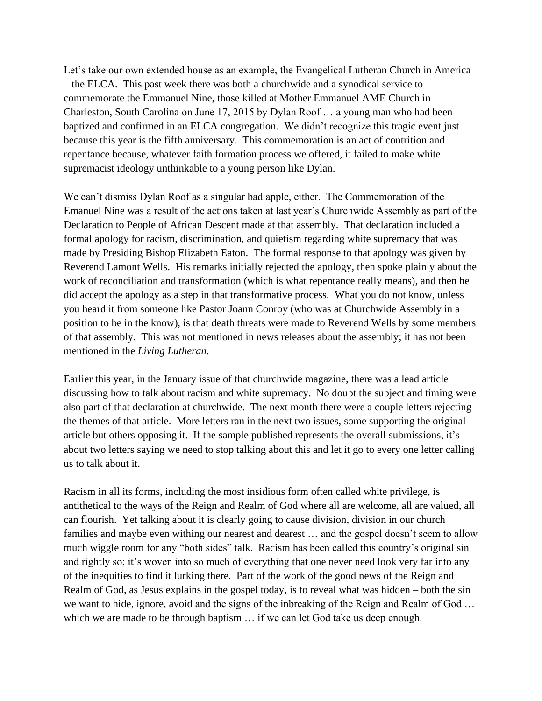Let's take our own extended house as an example, the Evangelical Lutheran Church in America – the ELCA. This past week there was both a churchwide and a synodical service to commemorate the Emmanuel Nine, those killed at Mother Emmanuel AME Church in Charleston, South Carolina on June 17, 2015 by Dylan Roof … a young man who had been baptized and confirmed in an ELCA congregation. We didn't recognize this tragic event just because this year is the fifth anniversary. This commemoration is an act of contrition and repentance because, whatever faith formation process we offered, it failed to make white supremacist ideology unthinkable to a young person like Dylan.

We can't dismiss Dylan Roof as a singular bad apple, either. The Commemoration of the Emanuel Nine was a result of the actions taken at last year's Churchwide Assembly as part of the Declaration to People of African Descent made at that assembly. That declaration included a formal apology for racism, discrimination, and quietism regarding white supremacy that was made by Presiding Bishop Elizabeth Eaton. The formal response to that apology was given by Reverend Lamont Wells. His remarks initially rejected the apology, then spoke plainly about the work of reconciliation and transformation (which is what repentance really means), and then he did accept the apology as a step in that transformative process. What you do not know, unless you heard it from someone like Pastor Joann Conroy (who was at Churchwide Assembly in a position to be in the know), is that death threats were made to Reverend Wells by some members of that assembly. This was not mentioned in news releases about the assembly; it has not been mentioned in the *Living Lutheran*.

Earlier this year, in the January issue of that churchwide magazine, there was a lead article discussing how to talk about racism and white supremacy. No doubt the subject and timing were also part of that declaration at churchwide. The next month there were a couple letters rejecting the themes of that article. More letters ran in the next two issues, some supporting the original article but others opposing it. If the sample published represents the overall submissions, it's about two letters saying we need to stop talking about this and let it go to every one letter calling us to talk about it.

Racism in all its forms, including the most insidious form often called white privilege, is antithetical to the ways of the Reign and Realm of God where all are welcome, all are valued, all can flourish. Yet talking about it is clearly going to cause division, division in our church families and maybe even withing our nearest and dearest ... and the gospel doesn't seem to allow much wiggle room for any "both sides" talk. Racism has been called this country's original sin and rightly so; it's woven into so much of everything that one never need look very far into any of the inequities to find it lurking there. Part of the work of the good news of the Reign and Realm of God, as Jesus explains in the gospel today, is to reveal what was hidden – both the sin we want to hide, ignore, avoid and the signs of the inbreaking of the Reign and Realm of God … which we are made to be through baptism ... if we can let God take us deep enough.